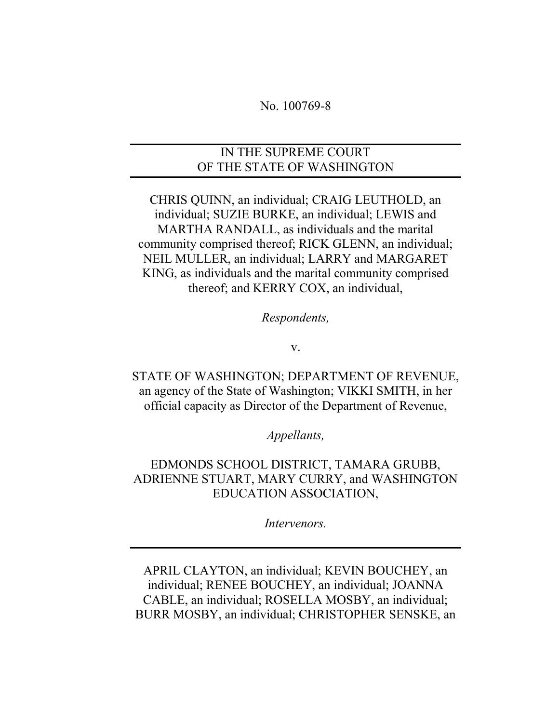#### No. 100769-8

### IN THE SUPREME COURT OF THE STATE OF WASHINGTON

CHRIS QUINN, an individual; CRAIG LEUTHOLD, an individual; SUZIE BURKE, an individual; LEWIS and MARTHA RANDALL, as individuals and the marital community comprised thereof; RICK GLENN, an individual; NEIL MULLER, an individual; LARRY and MARGARET KING, as individuals and the marital community comprised thereof; and KERRY COX, an individual,

Respondents,

v.

STATE OF WASHINGTON; DEPARTMENT OF REVENUE, an agency of the State of Washington; VIKKI SMITH, in her official capacity as Director of the Department of Revenue,

#### Appellants,

EDMONDS SCHOOL DISTRICT, TAMARA GRUBB, ADRIENNE STUART, MARY CURRY, and WASHINGTON EDUCATION ASSOCIATION,

Intervenors.

APRIL CLAYTON, an individual; KEVIN BOUCHEY, an individual; RENEE BOUCHEY, an individual; JOANNA CABLE, an individual; ROSELLA MOSBY, an individual; BURR MOSBY, an individual; CHRISTOPHER SENSKE, an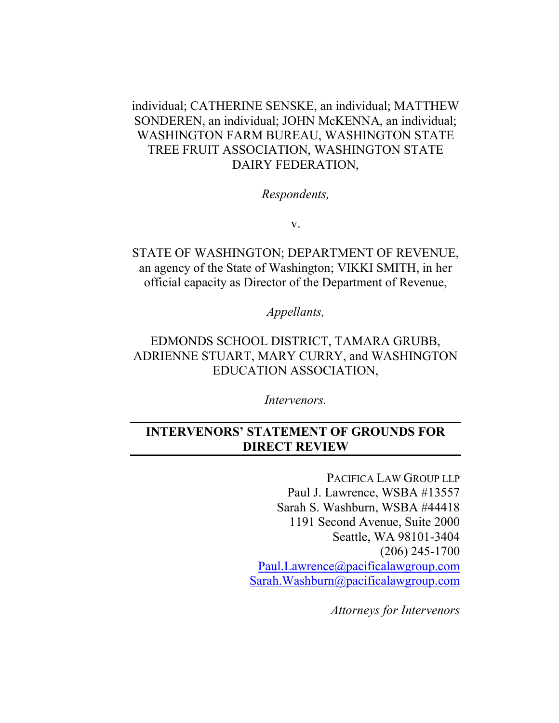individual; CATHERINE SENSKE, an individual; MATTHEW SONDEREN, an individual; JOHN McKENNA, an individual; WASHINGTON FARM BUREAU, WASHINGTON STATE TREE FRUIT ASSOCIATION, WASHINGTON STATE DAIRY FEDERATION,

#### Respondents,

v.

STATE OF WASHINGTON; DEPARTMENT OF REVENUE, an agency of the State of Washington; VIKKI SMITH, in her official capacity as Director of the Department of Revenue,

Appellants,

EDMONDS SCHOOL DISTRICT, TAMARA GRUBB, ADRIENNE STUART, MARY CURRY, and WASHINGTON EDUCATION ASSOCIATION,

Intervenors.

## INTERVENORS' STATEMENT OF GROUNDS FOR DIRECT REVIEW

PACIFICA LAW GROUP LLP Paul J. Lawrence, WSBA #13557 Sarah S. Washburn, WSBA #44418 1191 Second Avenue, Suite 2000 Seattle, WA 98101-3404 (206) 245-1700 Paul.Lawrence@pacificalawgroup.com Sarah.Washburn@pacificalawgroup.com

Attorneys for Intervenors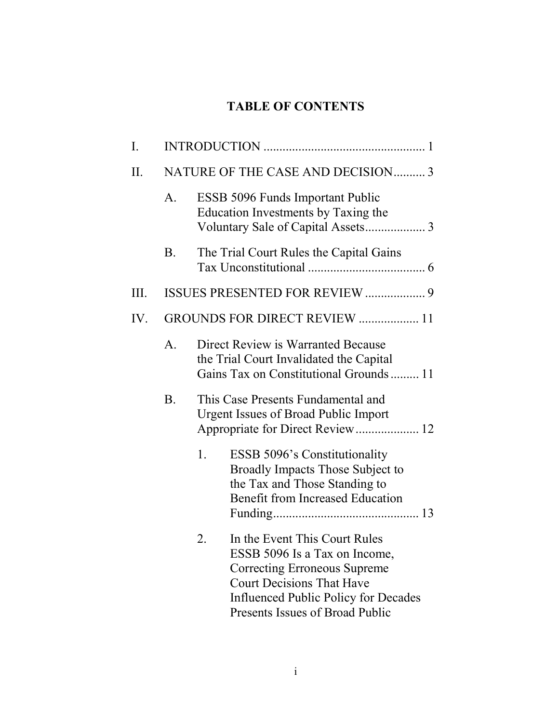## TABLE OF CONTENTS

| Ι.   |             |                                                                                                                                                                                                                                   |  |
|------|-------------|-----------------------------------------------------------------------------------------------------------------------------------------------------------------------------------------------------------------------------------|--|
| II.  |             | NATURE OF THE CASE AND DECISION 3                                                                                                                                                                                                 |  |
|      | A.          | <b>ESSB 5096 Funds Important Public</b><br>Education Investments by Taxing the                                                                                                                                                    |  |
|      | <b>B.</b>   | The Trial Court Rules the Capital Gains                                                                                                                                                                                           |  |
| III. |             | ISSUES PRESENTED FOR REVIEW  9                                                                                                                                                                                                    |  |
| IV.  |             | GROUNDS FOR DIRECT REVIEW  11                                                                                                                                                                                                     |  |
|      | $A_{\cdot}$ | Direct Review is Warranted Because<br>the Trial Court Invalidated the Capital<br>Gains Tax on Constitutional Grounds  11                                                                                                          |  |
|      | <b>B.</b>   | This Case Presents Fundamental and<br><b>Urgent Issues of Broad Public Import</b><br>Appropriate for Direct Review 12                                                                                                             |  |
|      |             | 1.<br><b>ESSB 5096's Constitutionality</b><br>Broadly Impacts Those Subject to<br>the Tax and Those Standing to<br><b>Benefit from Increased Education</b>                                                                        |  |
|      |             | In the Event This Court Rules<br>2.<br>ESSB 5096 Is a Tax on Income,<br><b>Correcting Erroneous Supreme</b><br><b>Court Decisions That Have</b><br><b>Influenced Public Policy for Decades</b><br>Presents Issues of Broad Public |  |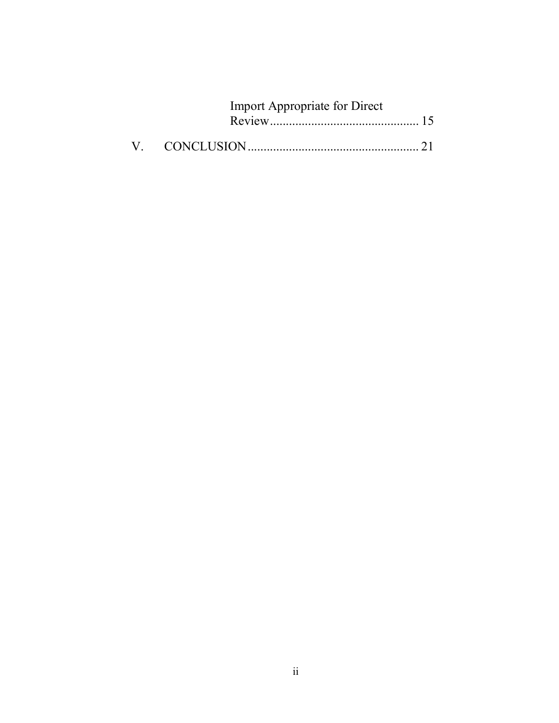| Import Appropriate for Direct |  |
|-------------------------------|--|
|                               |  |
|                               |  |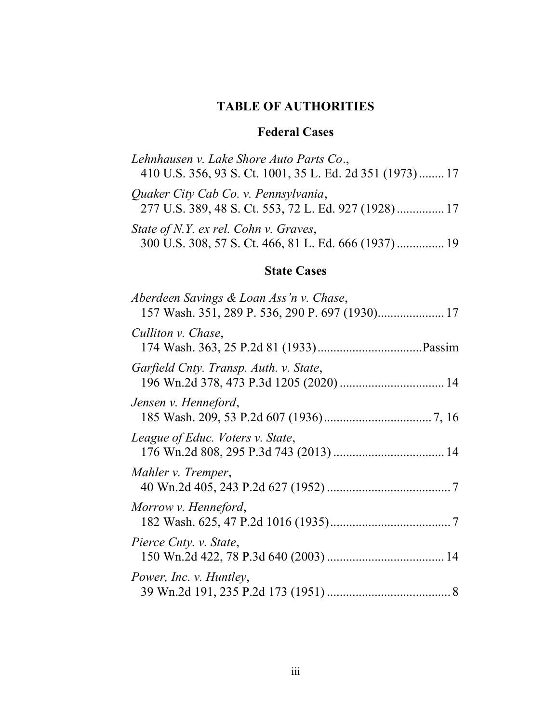## TABLE OF AUTHORITIES

## Federal Cases

| Lehnhausen v. Lake Shore Auto Parts Co.,<br>410 U.S. 356, 93 S. Ct. 1001, 35 L. Ed. 2d 351 (1973) 17 |  |
|------------------------------------------------------------------------------------------------------|--|
| Quaker City Cab Co. v. Pennsylvania,<br>277 U.S. 389, 48 S. Ct. 553, 72 L. Ed. 927 (1928) 17         |  |
| State of N.Y. ex rel. Cohn v. Graves,<br>300 U.S. 308, 57 S. Ct. 466, 81 L. Ed. 666 (1937) 19        |  |

## State Cases

| Aberdeen Savings & Loan Ass'n v. Chase,<br>157 Wash. 351, 289 P. 536, 290 P. 697 (1930) 17 |
|--------------------------------------------------------------------------------------------|
| Culliton v. Chase,                                                                         |
| Garfield Cnty. Transp. Auth. v. State,                                                     |
| Jensen v. Henneford,                                                                       |
| League of Educ. Voters v. State,                                                           |
| Mahler v. Tremper,                                                                         |
| Morrow v. Henneford,                                                                       |
| Pierce Cnty. v. State,                                                                     |
| Power, Inc. v. Huntley,                                                                    |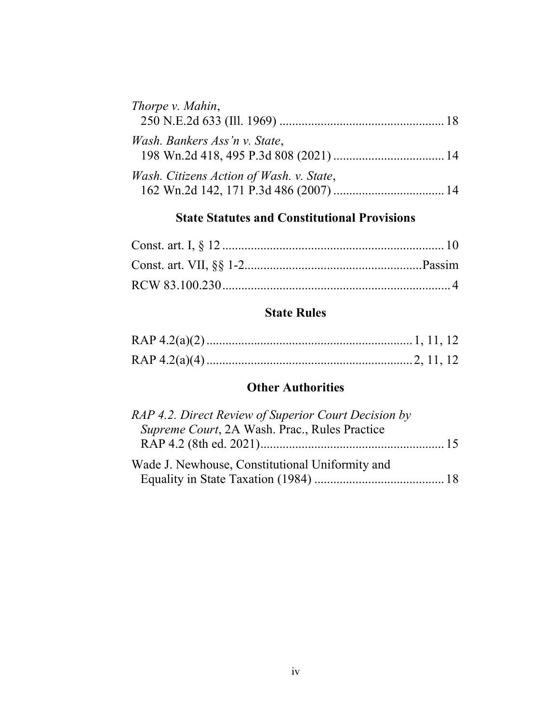| Thorpe v. Mahin,                         |  |
|------------------------------------------|--|
|                                          |  |
| Wash. Bankers Ass'n v. State,            |  |
| Wash. Citizens Action of Wash. v. State, |  |

# State Statutes and Constitutional Provisions

## State Rules

## **Other Authorities**

| RAP 4.2. Direct Review of Superior Court Decision by |
|------------------------------------------------------|
| Supreme Court, 2A Wash. Prac., Rules Practice        |
|                                                      |
| Wade J. Newhouse, Constitutional Uniformity and      |
|                                                      |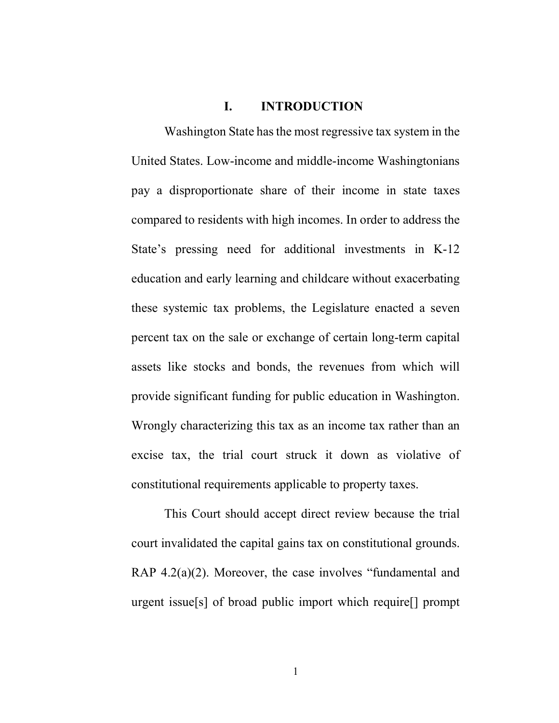#### I. INTRODUCTION

Washington State has the most regressive tax system in the United States. Low-income and middle-income Washingtonians pay a disproportionate share of their income in state taxes compared to residents with high incomes. In order to address the State's pressing need for additional investments in K-12 education and early learning and childcare without exacerbating these systemic tax problems, the Legislature enacted a seven percent tax on the sale or exchange of certain long-term capital assets like stocks and bonds, the revenues from which will provide significant funding for public education in Washington. Wrongly characterizing this tax as an income tax rather than an excise tax, the trial court struck it down as violative of constitutional requirements applicable to property taxes.

This Court should accept direct review because the trial court invalidated the capital gains tax on constitutional grounds. RAP 4.2(a)(2). Moreover, the case involves "fundamental and urgent issue[s] of broad public import which require[] prompt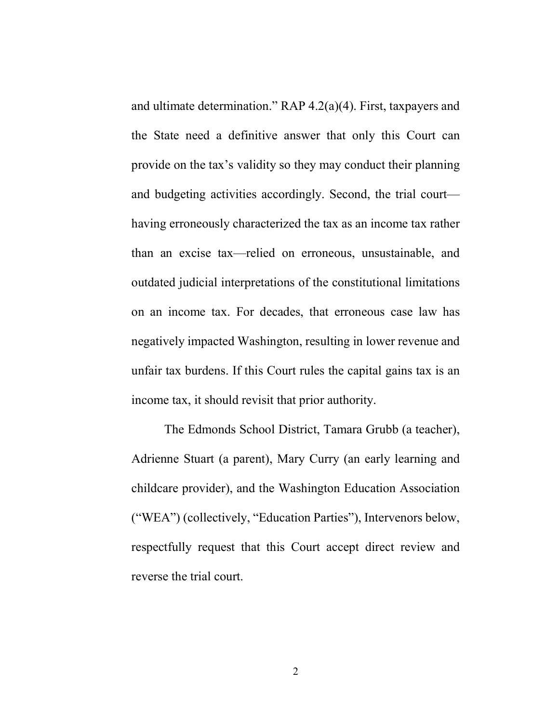and ultimate determination." RAP 4.2(a)(4). First, taxpayers and the State need a definitive answer that only this Court can provide on the tax's validity so they may conduct their planning and budgeting activities accordingly. Second, the trial court having erroneously characterized the tax as an income tax rather than an excise tax—relied on erroneous, unsustainable, and outdated judicial interpretations of the constitutional limitations on an income tax. For decades, that erroneous case law has negatively impacted Washington, resulting in lower revenue and unfair tax burdens. If this Court rules the capital gains tax is an income tax, it should revisit that prior authority.

The Edmonds School District, Tamara Grubb (a teacher), Adrienne Stuart (a parent), Mary Curry (an early learning and childcare provider), and the Washington Education Association ("WEA") (collectively, "Education Parties"), Intervenors below, respectfully request that this Court accept direct review and reverse the trial court.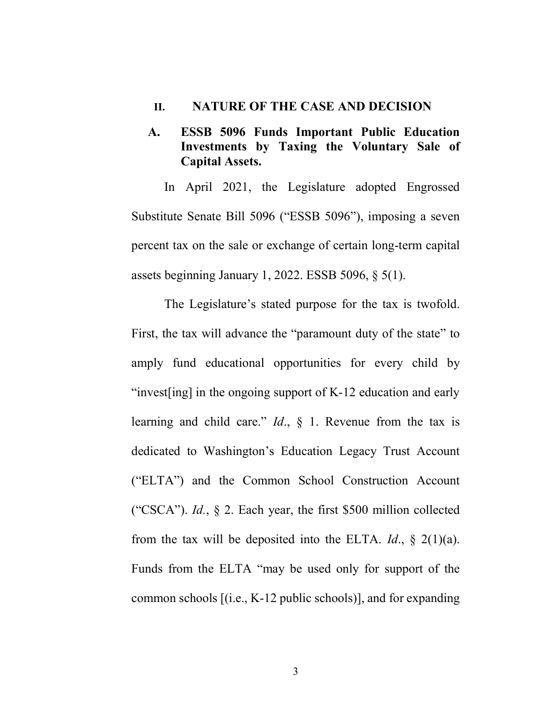#### II. NATURE OF THE CASE AND DECISION

A. ESSB 5096 Funds Important Public Education Investments by Taxing the Voluntary Sale of Capital Assets.

In April 2021, the Legislature adopted Engrossed Substitute Senate Bill 5096 ("ESSB 5096"), imposing a seven percent tax on the sale or exchange of certain long-term capital assets beginning January 1, 2022. ESSB 5096, § 5(1).

The Legislature's stated purpose for the tax is twofold. First, the tax will advance the "paramount duty of the state" to amply fund educational opportunities for every child by "invest[ing] in the ongoing support of K-12 education and early learning and child care."  $Id.$ ,  $\delta$  1. Revenue from the tax is dedicated to Washington's Education Legacy Trust Account ("ELTA") and the Common School Construction Account ("CSCA"). Id., § 2. Each year, the first \$500 million collected from the tax will be deposited into the ELTA. *Id.*,  $\S$  2(1)(a). Funds from the ELTA "may be used only for support of the common schools [(i.e., K-12 public schools)], and for expanding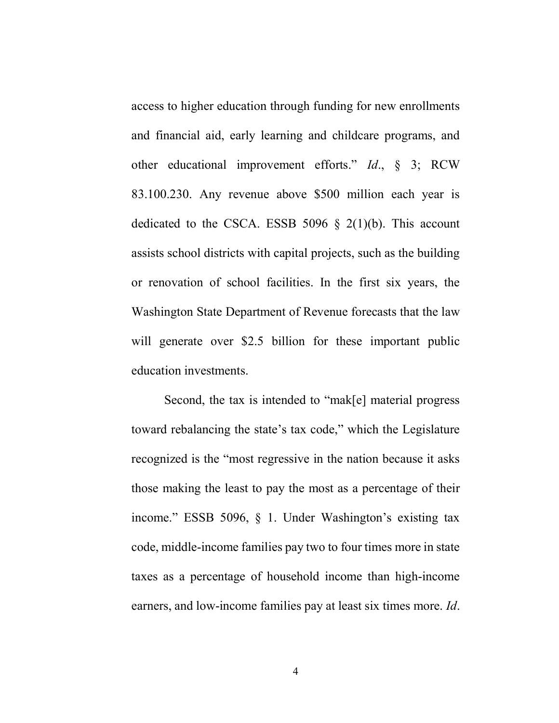access to higher education through funding for new enrollments and financial aid, early learning and childcare programs, and other educational improvement efforts." Id., § 3; RCW 83.100.230. Any revenue above \$500 million each year is dedicated to the CSCA. ESSB 5096  $\S$  2(1)(b). This account assists school districts with capital projects, such as the building or renovation of school facilities. In the first six years, the Washington State Department of Revenue forecasts that the law will generate over \$2.5 billion for these important public education investments.

Second, the tax is intended to "mak[e] material progress toward rebalancing the state's tax code," which the Legislature recognized is the "most regressive in the nation because it asks those making the least to pay the most as a percentage of their income." ESSB 5096, § 1. Under Washington's existing tax code, middle-income families pay two to four times more in state taxes as a percentage of household income than high-income earners, and low-income families pay at least six times more. *Id*.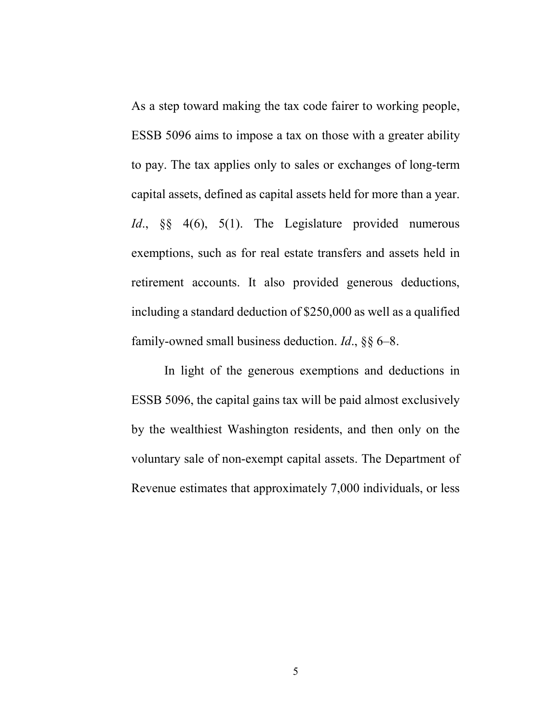As a step toward making the tax code fairer to working people, ESSB 5096 aims to impose a tax on those with a greater ability to pay. The tax applies only to sales or exchanges of long-term capital assets, defined as capital assets held for more than a year. Id., §§ 4(6), 5(1). The Legislature provided numerous exemptions, such as for real estate transfers and assets held in retirement accounts. It also provided generous deductions, including a standard deduction of \$250,000 as well as a qualified family-owned small business deduction. *Id.*,  $\S\S 6-8$ .

In light of the generous exemptions and deductions in ESSB 5096, the capital gains tax will be paid almost exclusively by the wealthiest Washington residents, and then only on the voluntary sale of non-exempt capital assets. The Department of Revenue estimates that approximately 7,000 individuals, or less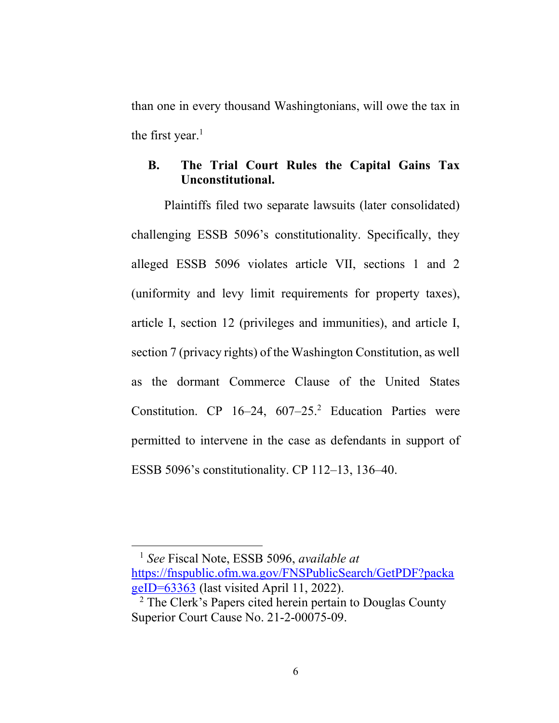than one in every thousand Washingtonians, will owe the tax in the first year. $<sup>1</sup>$ </sup>

## B. The Trial Court Rules the Capital Gains Tax Unconstitutional.

Plaintiffs filed two separate lawsuits (later consolidated) challenging ESSB 5096's constitutionality. Specifically, they alleged ESSB 5096 violates article VII, sections 1 and 2 (uniformity and levy limit requirements for property taxes), article I, section 12 (privileges and immunities), and article I, section 7 (privacy rights) of the Washington Constitution, as well as the dormant Commerce Clause of the United States Constitution. CP  $16-24$ ,  $607-25$ <sup>2</sup> Education Parties were permitted to intervene in the case as defendants in support of ESSB 5096's constitutionality. CP 112–13, 136–40.

 $<sup>1</sup>$  See Fiscal Note, ESSB 5096, available at</sup> https://fnspublic.ofm.wa.gov/FNSPublicSearch/GetPDF?packa geID=63363 (last visited April 11, 2022).

 $\overline{a}$ 

<sup>&</sup>lt;sup>2</sup> The Clerk's Papers cited herein pertain to Douglas County Superior Court Cause No. 21-2-00075-09.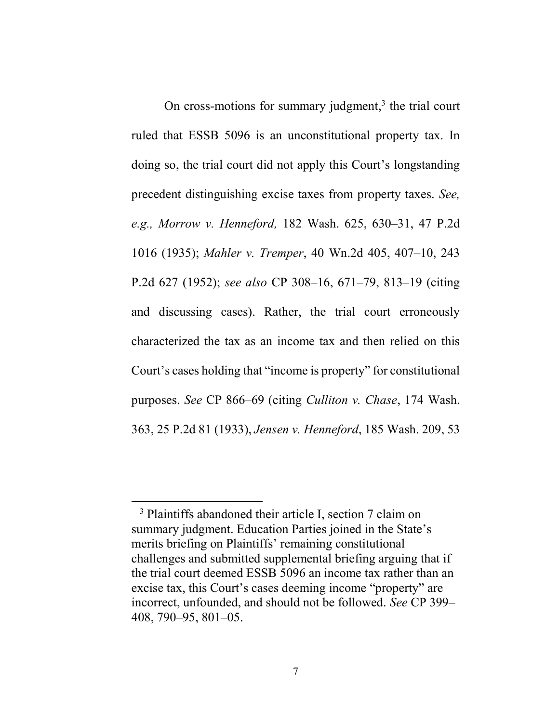On cross-motions for summary judgment, $3$  the trial court ruled that ESSB 5096 is an unconstitutional property tax. In doing so, the trial court did not apply this Court's longstanding precedent distinguishing excise taxes from property taxes. See, e.g., Morrow v. Henneford, 182 Wash. 625, 630–31, 47 P.2d 1016 (1935); Mahler v. Tremper, 40 Wn.2d 405, 407–10, 243 P.2d 627 (1952); see also CP 308–16, 671–79, 813–19 (citing and discussing cases). Rather, the trial court erroneously characterized the tax as an income tax and then relied on this Court's cases holding that "income is property" for constitutional purposes. See CP 866–69 (citing Culliton v. Chase, 174 Wash. 363, 25 P.2d 81 (1933), Jensen v. Henneford, 185 Wash. 209, 53

 $\overline{a}$ 

<sup>&</sup>lt;sup>3</sup> Plaintiffs abandoned their article I, section 7 claim on summary judgment. Education Parties joined in the State's merits briefing on Plaintiffs' remaining constitutional challenges and submitted supplemental briefing arguing that if the trial court deemed ESSB 5096 an income tax rather than an excise tax, this Court's cases deeming income "property" are incorrect, unfounded, and should not be followed. See CP 399– 408, 790–95, 801–05.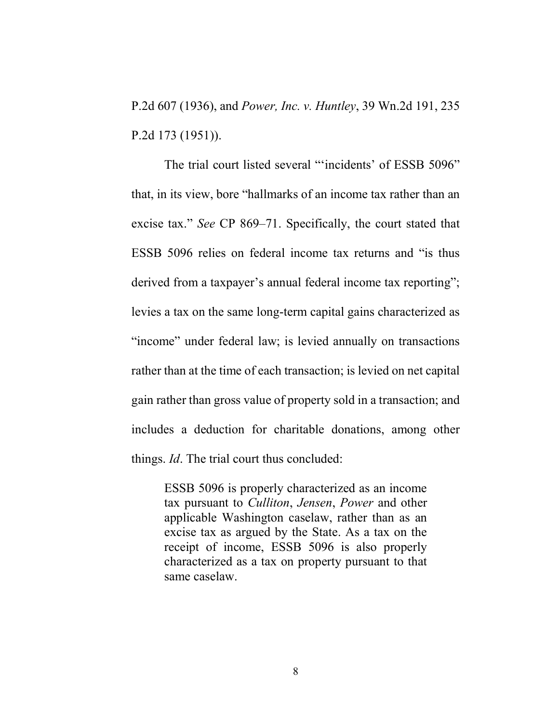P.2d 607 (1936), and Power, Inc. v. Huntley, 39 Wn.2d 191, 235 P.2d 173 (1951)).

The trial court listed several "'incidents' of ESSB 5096" that, in its view, bore "hallmarks of an income tax rather than an excise tax." See CP 869–71. Specifically, the court stated that ESSB 5096 relies on federal income tax returns and "is thus derived from a taxpayer's annual federal income tax reporting"; levies a tax on the same long-term capital gains characterized as "income" under federal law; is levied annually on transactions rather than at the time of each transaction; is levied on net capital gain rather than gross value of property sold in a transaction; and includes a deduction for charitable donations, among other things. *Id*. The trial court thus concluded:

ESSB 5096 is properly characterized as an income tax pursuant to Culliton, Jensen, Power and other applicable Washington caselaw, rather than as an excise tax as argued by the State. As a tax on the receipt of income, ESSB 5096 is also properly characterized as a tax on property pursuant to that same caselaw.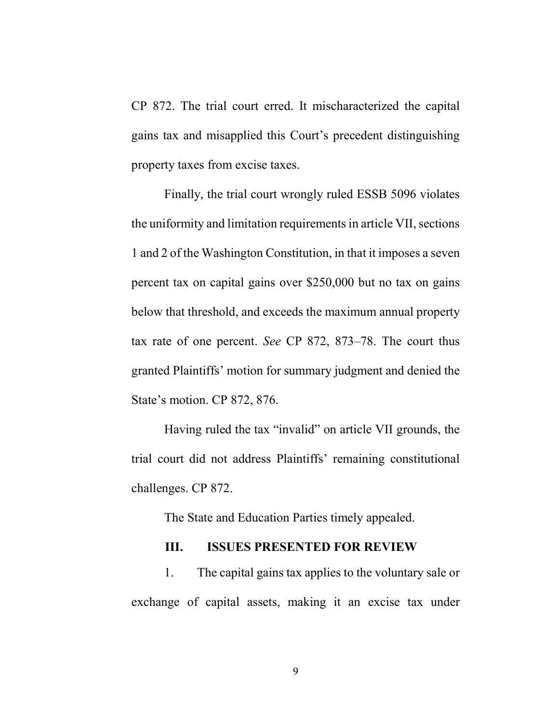CP 872. The trial court erred. It mischaracterized the capital gains tax and misapplied this Court's precedent distinguishing property taxes from excise taxes.

 Finally, the trial court wrongly ruled ESSB 5096 violates the uniformity and limitation requirements in article VII, sections 1 and 2 of the Washington Constitution, in that it imposes a seven percent tax on capital gains over \$250,000 but no tax on gains below that threshold, and exceeds the maximum annual property tax rate of one percent. See CP 872, 873–78. The court thus granted Plaintiffs' motion for summary judgment and denied the State's motion. CP 872, 876.

 Having ruled the tax "invalid" on article VII grounds, the trial court did not address Plaintiffs' remaining constitutional challenges. CP 872.

The State and Education Parties timely appealed.

#### III. ISSUES PRESENTED FOR REVIEW

1. The capital gains tax applies to the voluntary sale or exchange of capital assets, making it an excise tax under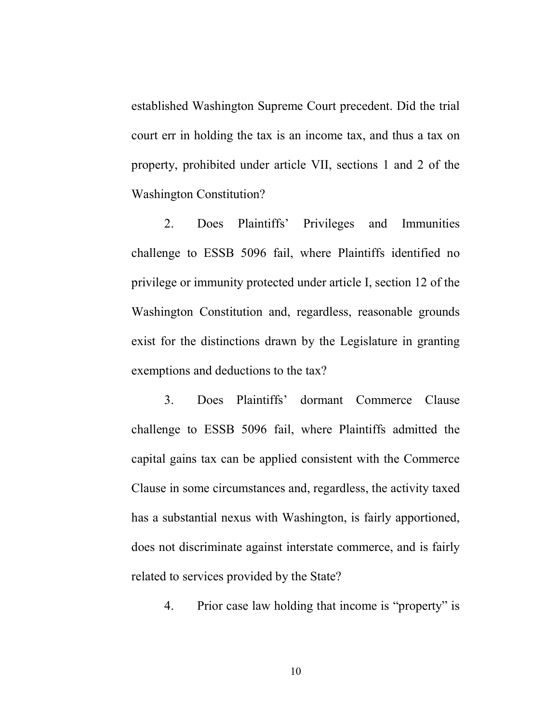established Washington Supreme Court precedent. Did the trial court err in holding the tax is an income tax, and thus a tax on property, prohibited under article VII, sections 1 and 2 of the Washington Constitution?

2. Does Plaintiffs' Privileges and Immunities challenge to ESSB 5096 fail, where Plaintiffs identified no privilege or immunity protected under article I, section 12 of the Washington Constitution and, regardless, reasonable grounds exist for the distinctions drawn by the Legislature in granting exemptions and deductions to the tax?

3. Does Plaintiffs' dormant Commerce Clause challenge to ESSB 5096 fail, where Plaintiffs admitted the capital gains tax can be applied consistent with the Commerce Clause in some circumstances and, regardless, the activity taxed has a substantial nexus with Washington, is fairly apportioned, does not discriminate against interstate commerce, and is fairly related to services provided by the State?

4. Prior case law holding that income is "property" is

10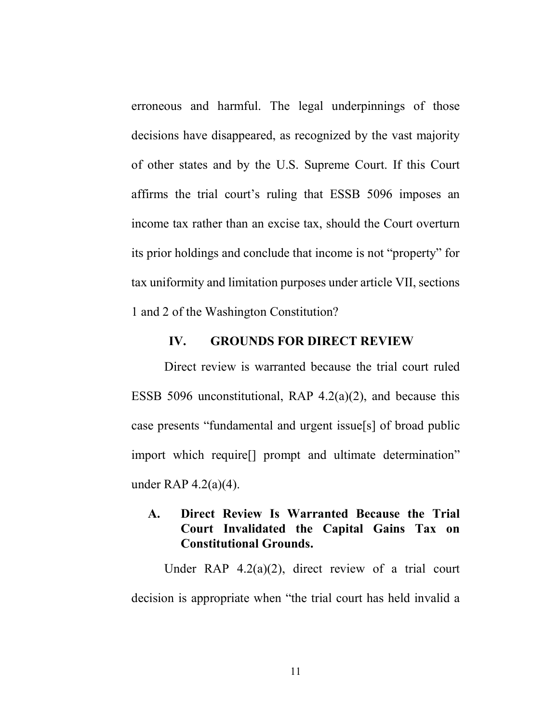erroneous and harmful. The legal underpinnings of those decisions have disappeared, as recognized by the vast majority of other states and by the U.S. Supreme Court. If this Court affirms the trial court's ruling that ESSB 5096 imposes an income tax rather than an excise tax, should the Court overturn its prior holdings and conclude that income is not "property" for tax uniformity and limitation purposes under article VII, sections 1 and 2 of the Washington Constitution?

#### IV. GROUNDS FOR DIRECT REVIEW

Direct review is warranted because the trial court ruled ESSB 5096 unconstitutional, RAP  $4.2(a)(2)$ , and because this case presents "fundamental and urgent issue[s] of broad public import which require[] prompt and ultimate determination" under RAP 4.2(a)(4).

## A. Direct Review Is Warranted Because the Trial Court Invalidated the Capital Gains Tax on Constitutional Grounds.

Under RAP 4.2(a)(2), direct review of a trial court decision is appropriate when "the trial court has held invalid a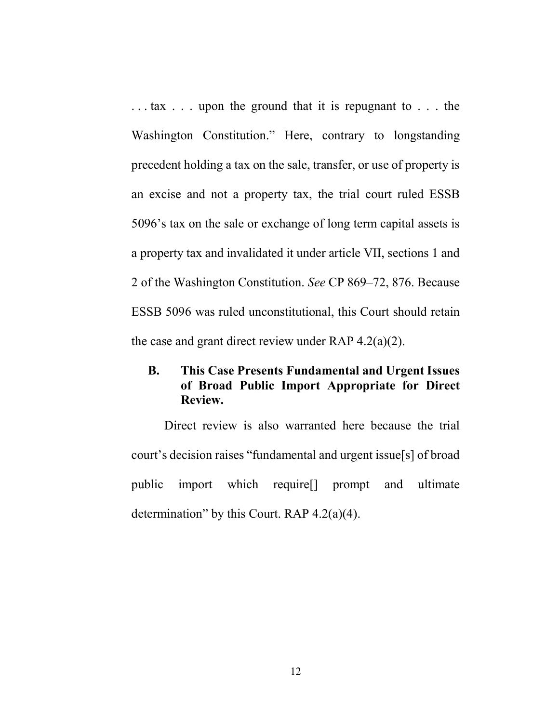. . . tax . . . upon the ground that it is repugnant to . . . the Washington Constitution." Here, contrary to longstanding precedent holding a tax on the sale, transfer, or use of property is an excise and not a property tax, the trial court ruled ESSB 5096's tax on the sale or exchange of long term capital assets is a property tax and invalidated it under article VII, sections 1 and 2 of the Washington Constitution. See CP 869–72, 876. Because ESSB 5096 was ruled unconstitutional, this Court should retain the case and grant direct review under RAP  $4.2(a)(2)$ .

## B. This Case Presents Fundamental and Urgent Issues of Broad Public Import Appropriate for Direct Review.

Direct review is also warranted here because the trial court's decision raises "fundamental and urgent issue[s] of broad public import which require[] prompt and ultimate determination" by this Court. RAP 4.2(a)(4).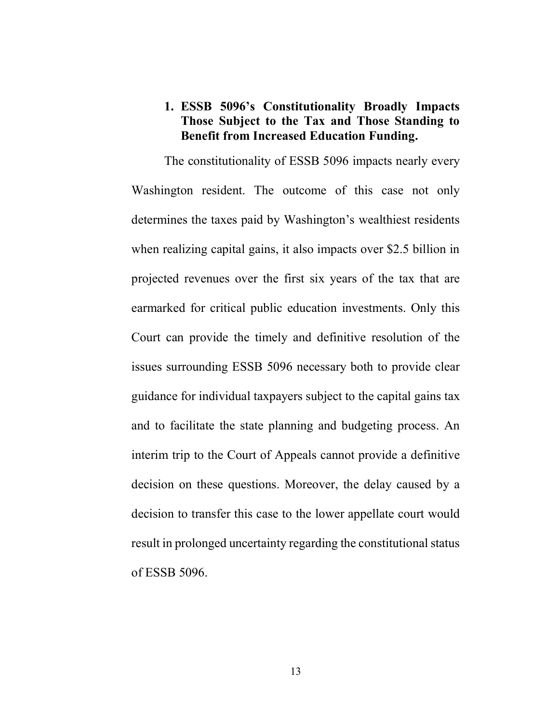## 1. ESSB 5096's Constitutionality Broadly Impacts Those Subject to the Tax and Those Standing to Benefit from Increased Education Funding.

The constitutionality of ESSB 5096 impacts nearly every Washington resident. The outcome of this case not only determines the taxes paid by Washington's wealthiest residents when realizing capital gains, it also impacts over \$2.5 billion in projected revenues over the first six years of the tax that are earmarked for critical public education investments. Only this Court can provide the timely and definitive resolution of the issues surrounding ESSB 5096 necessary both to provide clear guidance for individual taxpayers subject to the capital gains tax and to facilitate the state planning and budgeting process. An interim trip to the Court of Appeals cannot provide a definitive decision on these questions. Moreover, the delay caused by a decision to transfer this case to the lower appellate court would result in prolonged uncertainty regarding the constitutional status of ESSB 5096.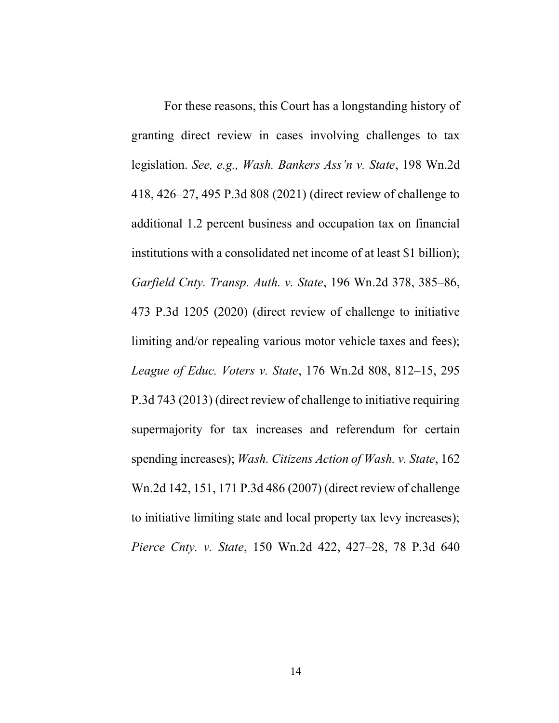For these reasons, this Court has a longstanding history of granting direct review in cases involving challenges to tax legislation. See, e.g., Wash. Bankers Ass'n v. State, 198 Wn.2d 418, 426–27, 495 P.3d 808 (2021) (direct review of challenge to additional 1.2 percent business and occupation tax on financial institutions with a consolidated net income of at least \$1 billion); Garfield Cnty. Transp. Auth. v. State, 196 Wn.2d 378, 385–86, 473 P.3d 1205 (2020) (direct review of challenge to initiative limiting and/or repealing various motor vehicle taxes and fees); League of Educ. Voters v. State, 176 Wn.2d 808, 812–15, 295 P.3d 743 (2013) (direct review of challenge to initiative requiring supermajority for tax increases and referendum for certain spending increases); Wash. Citizens Action of Wash. v. State, 162 Wn.2d 142, 151, 171 P.3d 486 (2007) (direct review of challenge to initiative limiting state and local property tax levy increases); Pierce Cnty. v. State, 150 Wn.2d 422, 427–28, 78 P.3d 640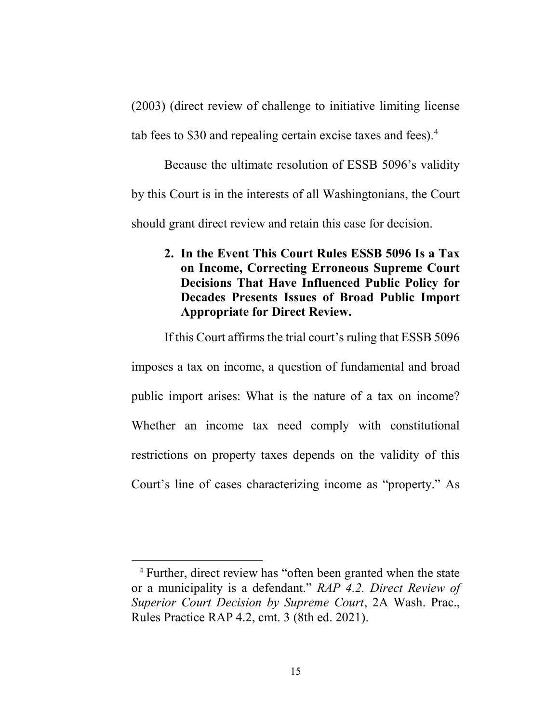(2003) (direct review of challenge to initiative limiting license tab fees to \$30 and repealing certain excise taxes and fees).<sup>4</sup>

Because the ultimate resolution of ESSB 5096's validity by this Court is in the interests of all Washingtonians, the Court should grant direct review and retain this case for decision.

2. In the Event This Court Rules ESSB 5096 Is a Tax on Income, Correcting Erroneous Supreme Court Decisions That Have Influenced Public Policy for Decades Presents Issues of Broad Public Import Appropriate for Direct Review.

If this Court affirms the trial court's ruling that ESSB 5096

imposes a tax on income, a question of fundamental and broad public import arises: What is the nature of a tax on income? Whether an income tax need comply with constitutional restrictions on property taxes depends on the validity of this Court's line of cases characterizing income as "property." As

 $\overline{a}$ 

<sup>4</sup> Further, direct review has "often been granted when the state or a municipality is a defendant." RAP 4.2. Direct Review of Superior Court Decision by Supreme Court, 2A Wash. Prac., Rules Practice RAP 4.2, cmt. 3 (8th ed. 2021).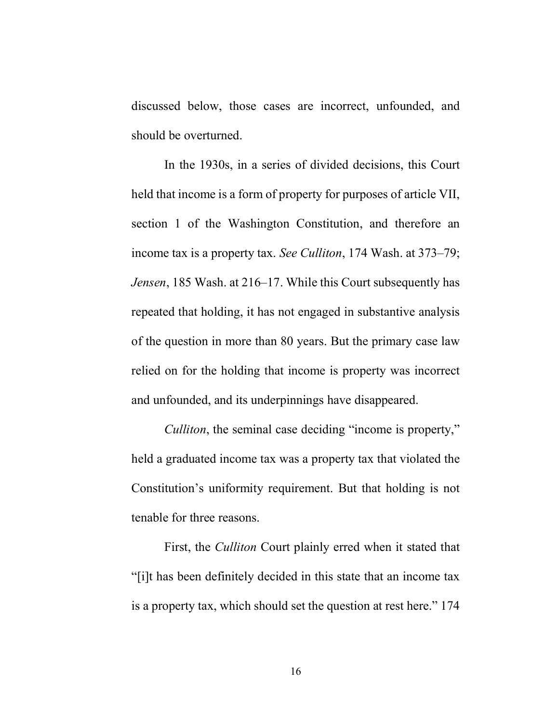discussed below, those cases are incorrect, unfounded, and should be overturned.

In the 1930s, in a series of divided decisions, this Court held that income is a form of property for purposes of article VII, section 1 of the Washington Constitution, and therefore an income tax is a property tax. See Culliton, 174 Wash. at 373–79; Jensen, 185 Wash. at 216–17. While this Court subsequently has repeated that holding, it has not engaged in substantive analysis of the question in more than 80 years. But the primary case law relied on for the holding that income is property was incorrect and unfounded, and its underpinnings have disappeared.

Culliton, the seminal case deciding "income is property," held a graduated income tax was a property tax that violated the Constitution's uniformity requirement. But that holding is not tenable for three reasons.

First, the Culliton Court plainly erred when it stated that "[i]t has been definitely decided in this state that an income tax is a property tax, which should set the question at rest here." 174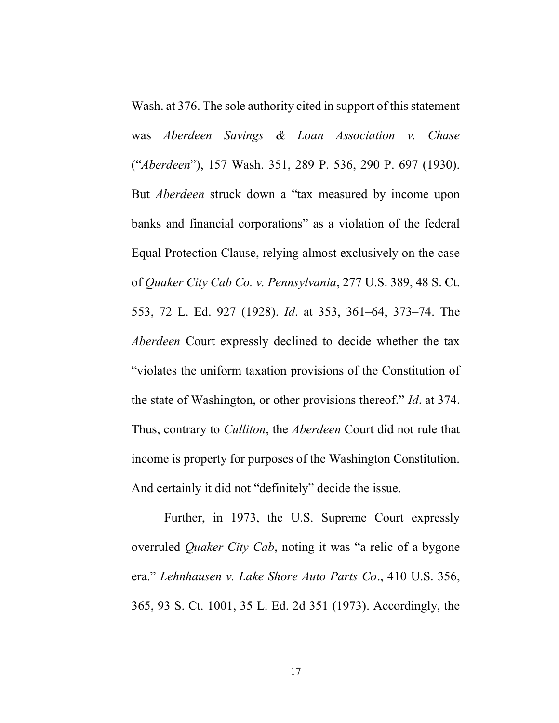Wash. at 376. The sole authority cited in support of this statement was Aberdeen Savings & Loan Association v. Chase ("Aberdeen"), 157 Wash. 351, 289 P. 536, 290 P. 697 (1930). But Aberdeen struck down a "tax measured by income upon banks and financial corporations" as a violation of the federal Equal Protection Clause, relying almost exclusively on the case of Quaker City Cab Co. v. Pennsylvania, 277 U.S. 389, 48 S. Ct. 553, 72 L. Ed. 927 (1928). Id. at 353, 361–64, 373–74. The Aberdeen Court expressly declined to decide whether the tax "violates the uniform taxation provisions of the Constitution of the state of Washington, or other provisions thereof." Id. at 374. Thus, contrary to *Culliton*, the *Aberdeen* Court did not rule that income is property for purposes of the Washington Constitution. And certainly it did not "definitely" decide the issue.

Further, in 1973, the U.S. Supreme Court expressly overruled Quaker City Cab, noting it was "a relic of a bygone era." Lehnhausen v. Lake Shore Auto Parts Co., 410 U.S. 356, 365, 93 S. Ct. 1001, 35 L. Ed. 2d 351 (1973). Accordingly, the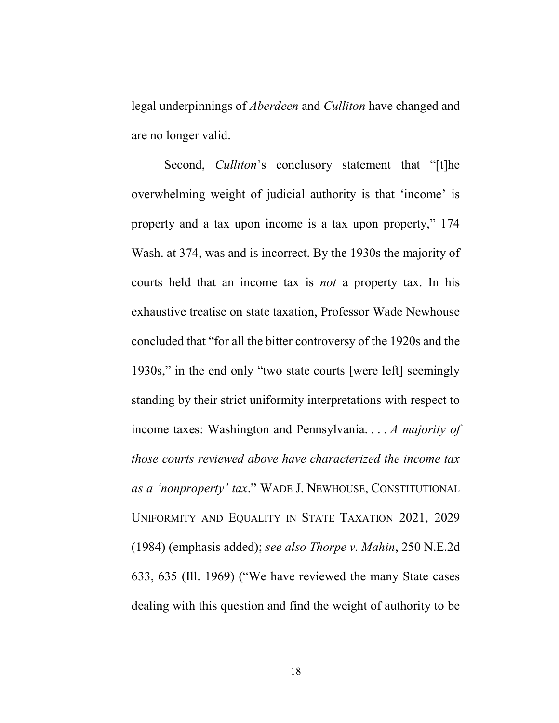legal underpinnings of *Aberdeen* and *Culliton* have changed and are no longer valid.

Second, *Culliton's* conclusory statement that "[t]he overwhelming weight of judicial authority is that 'income' is property and a tax upon income is a tax upon property," 174 Wash. at 374, was and is incorrect. By the 1930s the majority of courts held that an income tax is not a property tax. In his exhaustive treatise on state taxation, Professor Wade Newhouse concluded that "for all the bitter controversy of the 1920s and the 1930s," in the end only "two state courts [were left] seemingly standing by their strict uniformity interpretations with respect to income taxes: Washington and Pennsylvania. . . . A majority of those courts reviewed above have characterized the income tax as a 'nonproperty' tax." WADE J. NEWHOUSE, CONSTITUTIONAL UNIFORMITY AND EQUALITY IN STATE TAXATION 2021, 2029 (1984) (emphasis added); see also Thorpe v. Mahin, 250 N.E.2d 633, 635 (Ill. 1969) ("We have reviewed the many State cases dealing with this question and find the weight of authority to be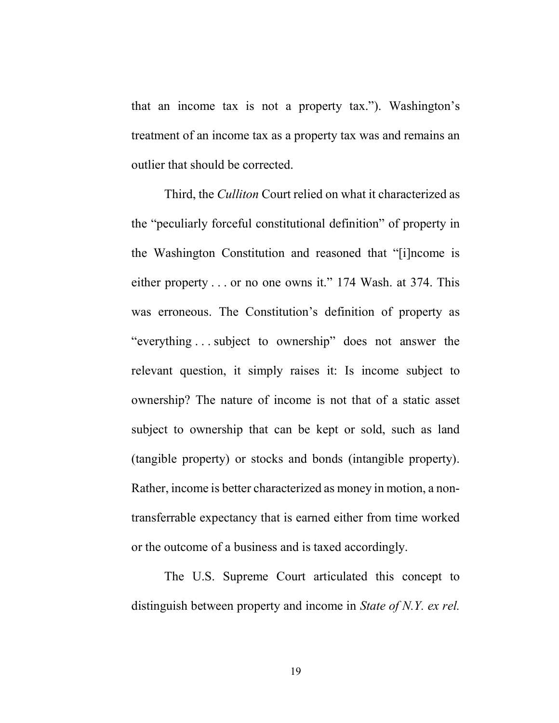that an income tax is not a property tax."). Washington's treatment of an income tax as a property tax was and remains an outlier that should be corrected.

Third, the *Culliton* Court relied on what it characterized as the "peculiarly forceful constitutional definition" of property in the Washington Constitution and reasoned that "[i]ncome is either property . . . or no one owns it." 174 Wash. at 374. This was erroneous. The Constitution's definition of property as "everything . . . subject to ownership" does not answer the relevant question, it simply raises it: Is income subject to ownership? The nature of income is not that of a static asset subject to ownership that can be kept or sold, such as land (tangible property) or stocks and bonds (intangible property). Rather, income is better characterized as money in motion, a nontransferrable expectancy that is earned either from time worked or the outcome of a business and is taxed accordingly.

The U.S. Supreme Court articulated this concept to distinguish between property and income in State of N.Y. ex rel.

19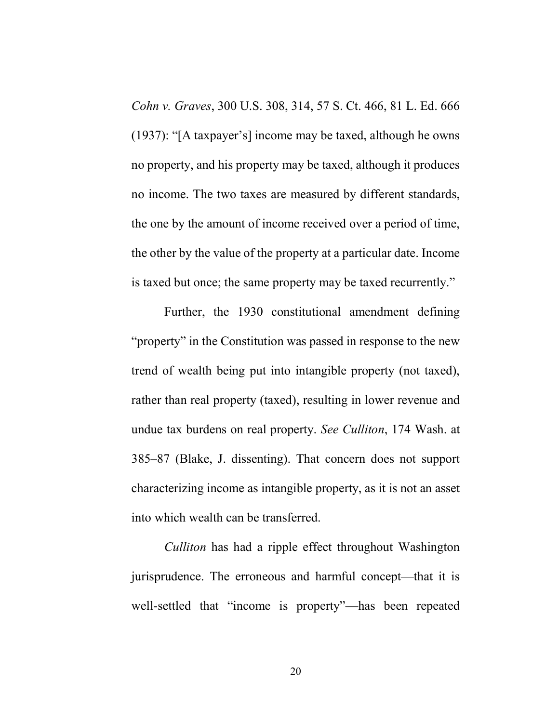Cohn v. Graves, 300 U.S. 308, 314, 57 S. Ct. 466, 81 L. Ed. 666 (1937): "[A taxpayer's] income may be taxed, although he owns no property, and his property may be taxed, although it produces no income. The two taxes are measured by different standards, the one by the amount of income received over a period of time, the other by the value of the property at a particular date. Income is taxed but once; the same property may be taxed recurrently."

Further, the 1930 constitutional amendment defining "property" in the Constitution was passed in response to the new trend of wealth being put into intangible property (not taxed), rather than real property (taxed), resulting in lower revenue and undue tax burdens on real property. See Culliton, 174 Wash. at 385–87 (Blake, J. dissenting). That concern does not support characterizing income as intangible property, as it is not an asset into which wealth can be transferred.

Culliton has had a ripple effect throughout Washington jurisprudence. The erroneous and harmful concept—that it is well-settled that "income is property"—has been repeated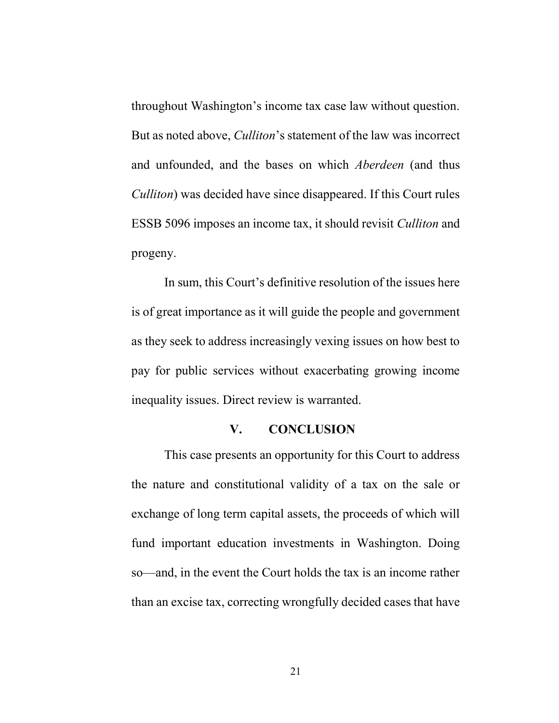throughout Washington's income tax case law without question. But as noted above, Culliton's statement of the law was incorrect and unfounded, and the bases on which Aberdeen (and thus Culliton) was decided have since disappeared. If this Court rules ESSB 5096 imposes an income tax, it should revisit Culliton and progeny.

In sum, this Court's definitive resolution of the issues here is of great importance as it will guide the people and government as they seek to address increasingly vexing issues on how best to pay for public services without exacerbating growing income inequality issues. Direct review is warranted.

### V. CONCLUSION

This case presents an opportunity for this Court to address the nature and constitutional validity of a tax on the sale or exchange of long term capital assets, the proceeds of which will fund important education investments in Washington. Doing so—and, in the event the Court holds the tax is an income rather than an excise tax, correcting wrongfully decided cases that have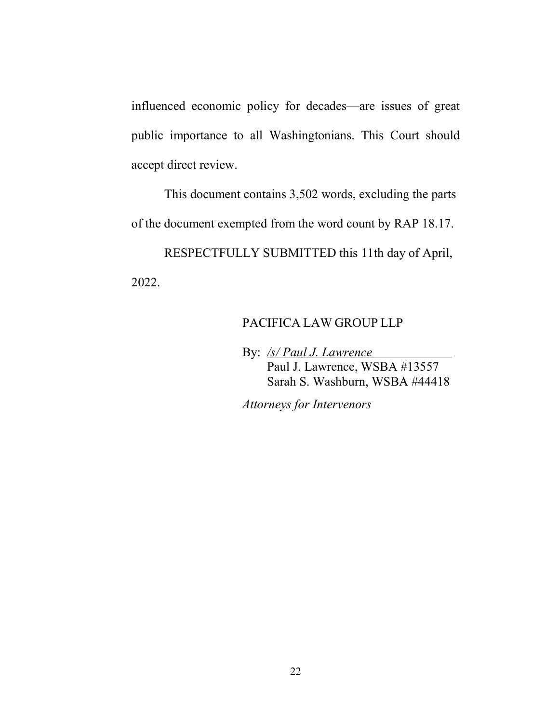influenced economic policy for decades—are issues of great public importance to all Washingtonians. This Court should accept direct review.

This document contains 3,502 words, excluding the parts of the document exempted from the word count by RAP 18.17.

RESPECTFULLY SUBMITTED this 11th day of April, 2022.

## PACIFICA LAW GROUP LLP

By: /s/ Paul J. Lawrence Paul J. Lawrence, WSBA #13557 Sarah S. Washburn, WSBA #44418

Attorneys for Intervenors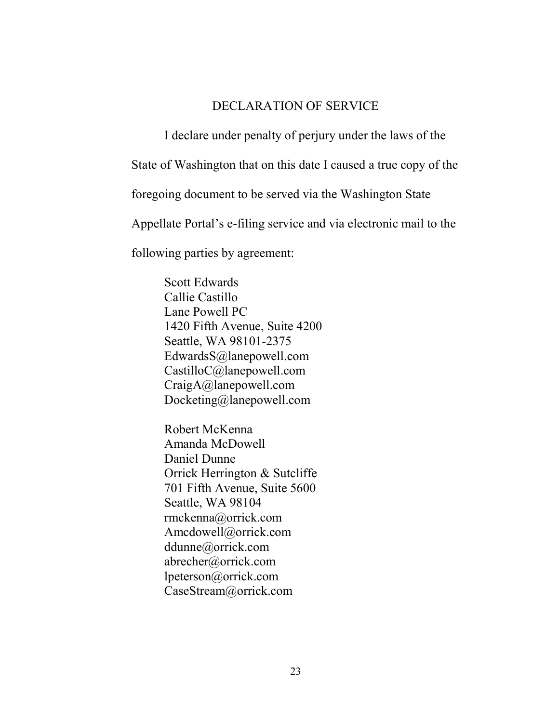## DECLARATION OF SERVICE

 I declare under penalty of perjury under the laws of the State of Washington that on this date I caused a true copy of the foregoing document to be served via the Washington State Appellate Portal's e-filing service and via electronic mail to the following parties by agreement:

> Scott Edwards Callie Castillo Lane Powell PC 1420 Fifth Avenue, Suite 4200 Seattle, WA 98101-2375 EdwardsS@lanepowell.com CastilloC@lanepowell.com CraigA@lanepowell.com Docketing@lanepowell.com

Robert McKenna Amanda McDowell Daniel Dunne Orrick Herrington & Sutcliffe 701 Fifth Avenue, Suite 5600 Seattle, WA 98104 rmckenna@orrick.com Amcdowell@orrick.com ddunne@orrick.com abrecher@orrick.com lpeterson@orrick.com CaseStream@orrick.com